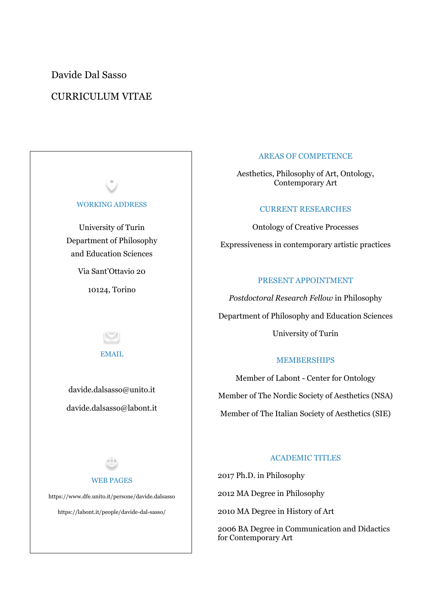Davide Dal Sasso

## CURRICULUM VITAE



#### AREAS OF COMPETENCE

Aesthetics, Philosophy of Art, Ontology, Contemporary Art

### CURRENT RESEARCHES

Ontology of Creative Processes Expressiveness in contemporary artistic practices

#### PRESENT APPOINTMENT

*Postdoctoral Research Fellow* in Philosophy Department of Philosophy and Education Sciences University of Turin

#### MEMBERSHIPS

Member of Labont - Center for Ontology Member of The Nordic Society of Aesthetics (NSA) Member of The Italian Society of Aesthetics (SIE)

### ACADEMIC TITLES

2017 Ph.D. in Philosophy

2012 MA Degree in Philosophy

2010 MA Degree in History of Art

2006 BA Degree in Communication and Didactics for Contemporary Art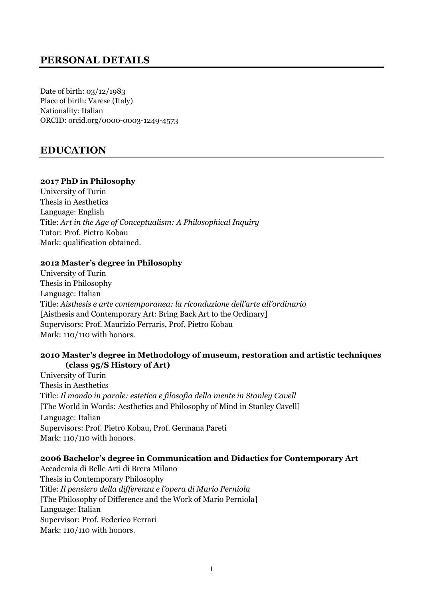## **PERSONAL DETAILS**

Date of birth: 03/12/1983 Place of birth: Varese (Italy) Nationality: Italian ORCID: orcid.org/0000-0003-1249-4573

## **EDUCATION**

### **2017 PhD in Philosophy**

University of Turin Thesis in Aesthetics Language: English Title: *Art in the Age of Conceptualism: A Philosophical Inquiry* Tutor: Prof. Pietro Kobau Mark: qualification obtained.

### **2012 Master's degree in Philosophy**

University of Turin Thesis in Philosophy Language: Italian Title: *Aisthesis e arte contemporanea: la riconduzione dell'arte all'ordinario* [Aisthesis and Contemporary Art: Bring Back Art to the Ordinary] Supervisors: Prof. Maurizio Ferraris, Prof. Pietro Kobau Mark: 110/110 with honors.

### **2010 Master's degree in Methodology of museum, restoration and artistic techniques (class 95/S History of Art)**

University of Turin Thesis in Aesthetics Title: *Il mondo in parole: estetica e filosofia della mente in Stanley Cavell* [The World in Words: Aesthetics and Philosophy of Mind in Stanley Cavell] Language: Italian Supervisors: Prof. Pietro Kobau, Prof. Germana Pareti Mark: 110/110 with honors.

### **2006 Bachelor's degree in Communication and Didactics for Contemporary Art**

Accademia di Belle Arti di Brera Milano Thesis in Contemporary Philosophy Title: *Il pensiero della differenza e l'opera di Mario Perniola* [The Philosophy of Difference and the Work of Mario Perniola] Language: Italian Supervisor: Prof. Federico Ferrari Mark: 110/110 with honors.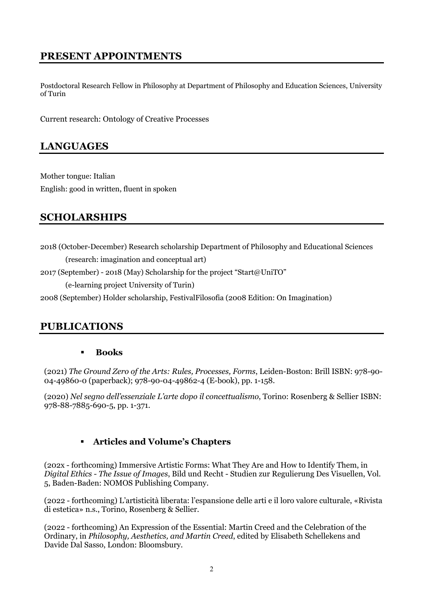## **PRESENT APPOINTMENTS**

Postdoctoral Research Fellow in Philosophy at Department of Philosophy and Education Sciences, University of Turin

Current research: Ontology of Creative Processes

## **LANGUAGES**

Mother tongue: Italian English: good in written, fluent in spoken

## **SCHOLARSHIPS**

- 2018 (October-December) Research scholarship Department of Philosophy and Educational Sciences (research: imagination and conceptual art)
- 2017 (September) 2018 (May) Scholarship for the project "Start@UniTO"

(e-learning project University of Turin)

2008 (September) Holder scholarship, FestivalFilosofia (2008 Edition: On Imagination)

## **PUBLICATIONS**

### § **Books**

(2021) *The Ground Zero of the Arts: Rules, Processes, Forms*, Leiden-Boston: Brill ISBN: 978-90- 04-49860-0 (paperback); 978-90-04-49862-4 (E-book), pp. 1-158.

(2020) *Nel segno dell'essenziale L'arte dopo il concettualismo*, Torino: Rosenberg & Sellier ISBN: 978-88-7885-690-5, pp. 1-371.

## § **Articles and Volume's Chapters**

(202x - forthcoming) Immersive Artistic Forms: What They Are and How to Identify Them, in *Digital Ethics - The Issue of Images*, Bild und Recht - Studien zur Regulierung Des Visuellen, Vol. 5, Baden-Baden: NOMOS Publishing Company.

(2022 - forthcoming) L'artisticità liberata: l'espansione delle arti e il loro valore culturale, «Rivista di estetica» n.s., Torino, Rosenberg & Sellier.

(2022 - forthcoming) An Expression of the Essential: Martin Creed and the Celebration of the Ordinary, in *Philosophy, Aesthetics, and Martin Creed*, edited by Elisabeth Schellekens and Davide Dal Sasso, London: Bloomsbury.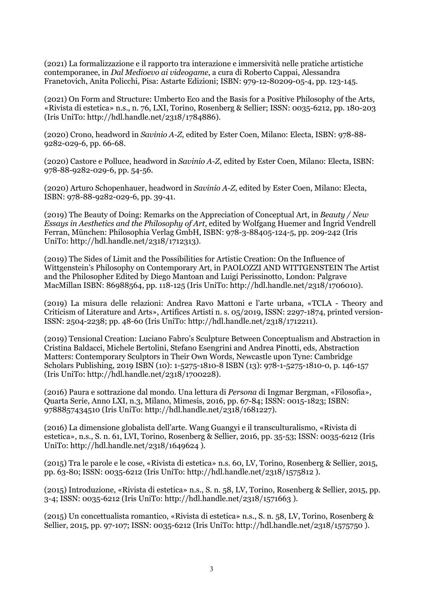(2021) La formalizzazione e il rapporto tra interazione e immersività nelle pratiche artistiche contemporanee, in *Dal Medioevo ai videogame*, a cura di Roberto Cappai, Alessandra Franetovich, Anita Policchi, Pisa: Astarte Edizioni; ISBN: 979-12-80209-05-4, pp. 123-145.

(2021) On Form and Structure: Umberto Eco and the Basis for a Positive Philosophy of the Arts, «Rivista di estetica» n.s., n. 76, LXI, Torino, Rosenberg & Sellier; ISSN: 0035-6212, pp. 180-203 (Iris UniTo: http://hdl.handle.net/2318/1784886).

(2020) Crono, headword in *Savinio A-Z*, edited by Ester Coen, Milano: Electa, ISBN: 978-88- 9282-029-6, pp. 66-68.

(2020) Castore e Polluce, headword in *Savinio A-Z*, edited by Ester Coen, Milano: Electa, ISBN: 978-88-9282-029-6, pp. 54-56.

(2020) Arturo Schopenhauer, headword in *Savinio A-Z*, edited by Ester Coen, Milano: Electa, ISBN: 978-88-9282-029-6, pp. 39-41.

(2019) The Beauty of Doing: Remarks on the Appreciation of Conceptual Art, in *Beauty / New Essays in Aesthetics and the Philosophy of Art*, edited by Wolfgang Huemer and Íngrid Vendrell Ferran, München: Philosophia Verlag GmbH, ISBN: 978-3-88405-124-5, pp. 209-242 (Iris UniTo: http://hdl.handle.net/2318/1712313).

(2019) The Sides of Limit and the Possibilities for Artistic Creation: On the Influence of Wittgenstein's Philosophy on Contemporary Art, in PAOLOZZI AND WITTGENSTEIN The Artist and the Philosopher Edited by Diego Mantoan and Luigi Perissinotto, London: Palgrave MacMillan ISBN: 86988564, pp. 118-125 (Iris UniTo: http://hdl.handle.net/2318/1706010).

(2019) La misura delle relazioni: Andrea Ravo Mattoni e l'arte urbana, «TCLA - Theory and Criticism of Literature and Arts», Artifices Artisti n. s. 05/2019, ISSN: 2297-1874, printed version-ISSN: 2504-2238; pp. 48-60 (Iris UniTo: http://hdl.handle.net/2318/1712211).

(2019) Tensional Creation: Luciano Fabro's Sculpture Between Conceptualism and Abstraction in Cristina Baldacci, Michele Bertolini, Stefano Esengrini and Andrea Pinotti, eds, Abstraction Matters: Contemporary Sculptors in Their Own Words, Newcastle upon Tyne: Cambridge Scholars Publishing, 2019 ISBN (10): 1-5275-1810-8 ISBN (13): 978-1-5275-1810-0, p. 146-157 (Iris UniTo: http://hdl.handle.net/2318/1700228).

(2016) Paura e sottrazione dal mondo. Una lettura di *Persona* di Ingmar Bergman, «Filosofia», Quarta Serie, Anno LXI, n.3, Milano, Mimesis, 2016, pp. 67-84; ISSN: 0015-1823; ISBN: 9788857434510 (Iris UniTo: http://hdl.handle.net/2318/1681227).

(2016) La dimensione globalista dell'arte. Wang Guangyi e il transculturalismo, «Rivista di estetica», n.s., S. n. 61, LVI, Torino, Rosenberg & Sellier, 2016, pp. 35-53; ISSN: 0035-6212 (Iris UniTo: http://hdl.handle.net/2318/1649624 ).

(2015) Tra le parole e le cose, «Rivista di estetica» n.s. 60, LV, Torino, Rosenberg & Sellier, 2015, pp. 63-80; ISSN: 0035-6212 (Iris UniTo: http://hdl.handle.net/2318/1575812 ).

(2015) Introduzione, «Rivista di estetica» n.s., S. n. 58, LV, Torino, Rosenberg & Sellier, 2015, pp. 3-4; ISSN: 0035-6212 (Iris UniTo: http://hdl.handle.net/2318/1571663 ).

(2015) Un concettualista romantico, «Rivista di estetica» n.s., S. n. 58, LV, Torino, Rosenberg & Sellier, 2015, pp. 97-107; ISSN: 0035-6212 (Iris UniTo: http://hdl.handle.net/2318/1575750).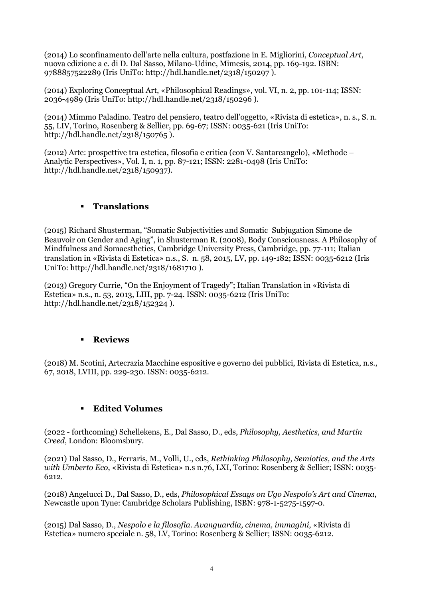(2014) Lo sconfinamento dell'arte nella cultura, postfazione in E. Migliorini, *Conceptual Art*, nuova edizione a c. di D. Dal Sasso, Milano-Udine, Mimesis, 2014, pp. 169-192. ISBN: 9788857522289 (Iris UniTo: http://hdl.handle.net/2318/150297 ).

(2014) Exploring Conceptual Art, «Philosophical Readings», vol. VI, n. 2, pp. 101-114; ISSN: 2036-4989 (Iris UniTo: http://hdl.handle.net/2318/150296 ).

(2014) Mimmo Paladino. Teatro del pensiero, teatro dell'oggetto, «Rivista di estetica», n. s., S. n. 55, LIV, Torino, Rosenberg & Sellier, pp. 69-67; ISSN: 0035-621 (Iris UniTo: http://hdl.handle.net/2318/150765 ).

(2012) Arte: prospettive tra estetica, filosofia e critica (con V. Santarcangelo), «Methode – Analytic Perspectives», Vol. I, n. 1, pp. 87-121; ISSN: 2281-0498 (Iris UniTo: http://hdl.handle.net/2318/150937).

## § **Translations**

(2015) Richard Shusterman, "Somatic Subjectivities and Somatic Subjugation Simone de Beauvoir on Gender and Aging", in Shusterman R. (2008), Body Consciousness. A Philosophy of Mindfulness and Somaesthetics, Cambridge University Press, Cambridge, pp. 77-111; Italian translation in «Rivista di Estetica» n.s., S. n. 58, 2015, LV, pp. 149-182; ISSN: 0035-6212 (Iris UniTo: http://hdl.handle.net/2318/1681710 ).

(2013) Gregory Currie, "On the Enjoyment of Tragedy"; Italian Translation in «Rivista di Estetica» n.s., n. 53, 2013, LIII, pp. 7-24. ISSN: 0035-6212 (Iris UniTo: http://hdl.handle.net/2318/152324 ).

### § **Reviews**

(2018) M. Scotini, Artecrazia Macchine espositive e governo dei pubblici, Rivista di Estetica, n.s., 67, 2018, LVIII, pp. 229-230. ISSN: 0035-6212.

## § **Edited Volumes**

(2022 - forthcoming) Schellekens, E., Dal Sasso, D., eds, *Philosophy, Aesthetics, and Martin Creed*, London: Bloomsbury.

(2021) Dal Sasso, D., Ferraris, M., Volli, U., eds, *Rethinking Philosophy, Semiotics, and the Arts with Umberto Eco*, «Rivista di Estetica» n.s n.76, LXI, Torino: Rosenberg & Sellier; ISSN: 0035- 6212.

(2018) Angelucci D., Dal Sasso, D., eds, *Philosophical Essays on Ugo Nespolo's Art and Cinema*, Newcastle upon Tyne: Cambridge Scholars Publishing, ISBN: 978-1-5275-1597-0.

(2015) Dal Sasso, D., *Nespolo e la filosofia. Avanguardia, cinema, immagini*, «Rivista di Estetica» numero speciale n. 58, LV, Torino: Rosenberg & Sellier; ISSN: 0035-6212.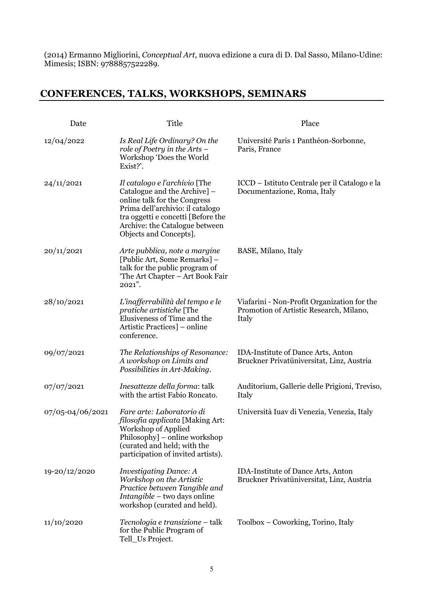(2014) Ermanno Migliorini, *Conceptual Art*, nuova edizione a cura di D. Dal Sasso, Milano-Udine: Mimesis; ISBN: 9788857522289.

# **CONFERENCES, TALKS, WORKSHOPS, SEMINARS**

| Date             | Title                                                                                                                                                                                                                               | Place                                                                                           |
|------------------|-------------------------------------------------------------------------------------------------------------------------------------------------------------------------------------------------------------------------------------|-------------------------------------------------------------------------------------------------|
| 12/04/2022       | Is Real Life Ordinary? On the<br>role of Poetry in the Arts –<br>Workshop 'Does the World<br>Exist?'.                                                                                                                               | Université Paris 1 Panthéon-Sorbonne,<br>Paris, France                                          |
| 24/11/2021       | Il catalogo e l'archivio [The<br>Catalogue and the Archive] -<br>online talk for the Congress<br>Prima dell'archivio: il catalogo<br>tra oggetti e concetti [Before the<br>Archive: the Catalogue between<br>Objects and Concepts]. | ICCD – Istituto Centrale per il Catalogo e la<br>Documentazione, Roma, Italy                    |
| 20/11/2021       | Arte pubblica, note a margine<br>[Public Art, Some Remarks] -<br>talk for the public program of<br>'The Art Chapter – Art Book Fair<br>$2021$ ".                                                                                    | BASE, Milano, Italy                                                                             |
| 28/10/2021       | L'inafferrabilità del tempo e le<br>pratiche artistiche [The<br>Elusiveness of Time and the<br>Artistic Practices] – online<br>conference.                                                                                          | Viafarini - Non-Profit Organization for the<br>Promotion of Artistic Research, Milano,<br>Italy |
| 09/07/2021       | The Relationships of Resonance:<br>A workshop on Limits and<br>Possibilities in Art-Making.                                                                                                                                         | <b>IDA-Institute of Dance Arts, Anton</b><br>Bruckner Privatüniversitat, Linz, Austria          |
| 07/07/2021       | Inesattezze della forma: talk<br>with the artist Fabio Roncato.                                                                                                                                                                     | Auditorium, Gallerie delle Prigioni, Treviso,<br>Italy                                          |
| 07/05-04/06/2021 | Fare arte: Laboratorio di<br>filosofia applicata [Making Art:<br>Workshop of Applied<br>Philosophy] – online workshop<br>(curated and held; with the<br>participation of invited artists).                                          | Università Iuav di Venezia, Venezia, Italy                                                      |
| 19-20/12/2020    | <i>Investigating Dance: A</i><br>Workshop on the Artistic<br>Practice between Tangible and<br><i>Intangible</i> – two days online<br>workshop (curated and held).                                                                   | <b>IDA-Institute of Dance Arts, Anton</b><br>Bruckner Privatüniversitat, Linz, Austria          |
| 11/10/2020       | Tecnologia e transizione – talk<br>for the Public Program of<br>Tell_Us Project.                                                                                                                                                    | Toolbox – Coworking, Torino, Italy                                                              |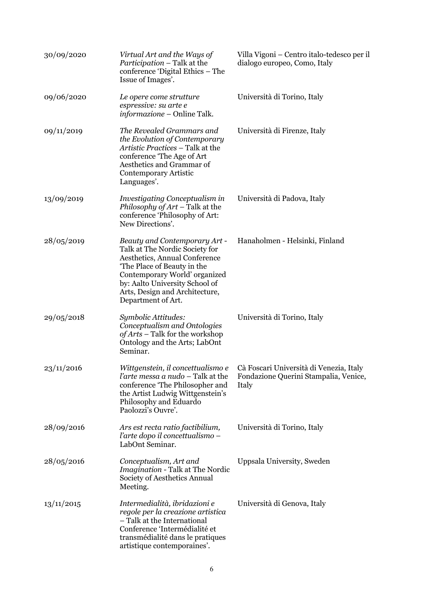| 30/09/2020 | Virtual Art and the Ways of<br><i>Participation</i> – Talk at the<br>conference 'Digital Ethics – The<br>Issue of Images'.                                                                                                                                | Villa Vigoni – Centro italo-tedesco per il<br>dialogo europeo, Como, Italy                |
|------------|-----------------------------------------------------------------------------------------------------------------------------------------------------------------------------------------------------------------------------------------------------------|-------------------------------------------------------------------------------------------|
| 09/06/2020 | Le opere come strutture<br>espressive: su arte e<br>informazione – Online Talk.                                                                                                                                                                           | Università di Torino, Italy                                                               |
| 09/11/2019 | The Revealed Grammars and<br>the Evolution of Contemporary<br>Artistic Practices – Talk at the<br>conference 'The Age of Art<br>Aesthetics and Grammar of<br>Contemporary Artistic<br>Languages'.                                                         | Università di Firenze, Italy                                                              |
| 13/09/2019 | Investigating Conceptualism in<br>Philosophy of $Art$ – Talk at the<br>conference 'Philosophy of Art:<br>New Directions'.                                                                                                                                 | Università di Padova, Italy                                                               |
| 28/05/2019 | Beauty and Contemporary Art -<br>Talk at The Nordic Society for<br>Aesthetics, Annual Conference<br>The Place of Beauty in the<br>Contemporary World' organized<br>by: Aalto University School of<br>Arts, Design and Architecture,<br>Department of Art. | Hanaholmen - Helsinki, Finland                                                            |
| 29/05/2018 | Symbolic Attitudes:<br>Conceptualism and Ontologies<br>of Arts – Talk for the workshop<br>Ontology and the Arts; LabOnt<br>Seminar.                                                                                                                       | Università di Torino, Italy                                                               |
| 23/11/2016 | Wittgenstein, il concettualismo e<br><i>l'arte messa a nudo - Talk at the</i><br>conference 'The Philosopher and<br>the Artist Ludwig Wittgenstein's<br>Philosophy and Eduardo<br>Paolozzi's Ouvre'.                                                      | Cà Foscari Università di Venezia, Italy<br>Fondazione Querini Stampalia, Venice,<br>Italy |
| 28/09/2016 | Ars est recta ratio factibilium,<br>l'arte dopo il concettualismo -<br>LabOnt Seminar.                                                                                                                                                                    | Università di Torino, Italy                                                               |
| 28/05/2016 | Conceptualism, Art and<br>Imagination - Talk at The Nordic<br>Society of Aesthetics Annual<br>Meeting.                                                                                                                                                    | Uppsala University, Sweden                                                                |
| 13/11/2015 | Intermedialità, ibridazioni e<br>regole per la creazione artistica<br>- Talk at the International<br>Conference 'Intermédialité et<br>transmédialité dans le pratiques<br>artistique contemporaines'.                                                     | Università di Genova, Italy                                                               |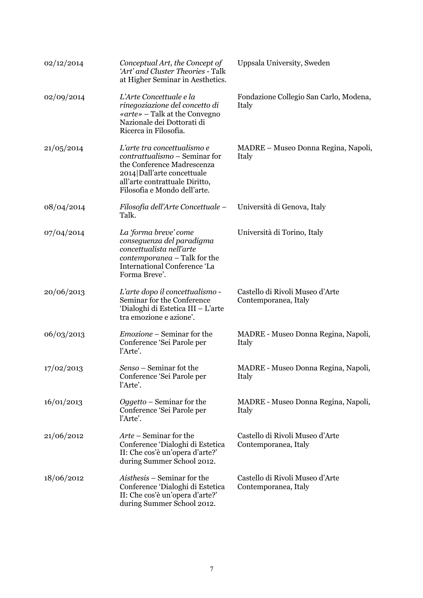| 02/12/2014 | Conceptual Art, the Concept of<br>'Art' and Cluster Theories - Talk<br>at Higher Seminar in Aesthetics.                                                                                    | Uppsala University, Sweden                              |
|------------|--------------------------------------------------------------------------------------------------------------------------------------------------------------------------------------------|---------------------------------------------------------|
| 02/09/2014 | L'Arte Concettuale e la<br>rinegoziazione del concetto di<br>«arte» – Talk at the Convegno<br>Nazionale dei Dottorati di<br>Ricerca in Filosofia.                                          | Fondazione Collegio San Carlo, Modena,<br>Italy         |
| 21/05/2014 | L'arte tra concettualismo e<br>contrattualismo – Seminar for<br>the Conference Madrescenza<br>2014 Dall'arte concettuale<br>all'arte contrattuale Diritto,<br>Filosofia e Mondo dell'arte. | MADRE – Museo Donna Regina, Napoli,<br>Italy            |
| 08/04/2014 | Filosofia dell'Arte Concettuale –<br>Talk.                                                                                                                                                 | Università di Genova, Italy                             |
| 07/04/2014 | La 'forma breve' come<br>conseguenza del paradigma<br>concettualista nell'arte<br>contemporanea - Talk for the<br><b>International Conference 'La</b><br>Forma Breve'.                     | Università di Torino, Italy                             |
| 20/06/2013 | L'arte dopo il concettualismo -<br>Seminar for the Conference<br>'Dialoghi di Estetica III - L'arte<br>tra emozione e azione'.                                                             | Castello di Rivoli Museo d'Arte<br>Contemporanea, Italy |
| 06/03/2013 | <i>Emozione</i> – Seminar for the<br>Conference 'Sei Parole per<br>l'Arte'.                                                                                                                | MADRE - Museo Donna Regina, Napoli,<br>Italy            |
| 17/02/2013 | Senso - Seminar fot the<br>Conference 'Sei Parole per<br>l'Arte'.                                                                                                                          | MADRE - Museo Donna Regina, Napoli,<br>Italy            |
| 16/01/2013 | Oggetto – Seminar for the<br>Conference 'Sei Parole per<br>l'Arte'.                                                                                                                        | MADRE - Museo Donna Regina, Napoli,<br>Italy            |
| 21/06/2012 | Arte – Seminar for the<br>Conference 'Dialoghi di Estetica<br>II: Che cos'è un'opera d'arte?'<br>during Summer School 2012.                                                                | Castello di Rivoli Museo d'Arte<br>Contemporanea, Italy |
| 18/06/2012 | Aisthesis – Seminar for the<br>Conference 'Dialoghi di Estetica<br>II: Che cos'è un'opera d'arte?'<br>during Summer School 2012.                                                           | Castello di Rivoli Museo d'Arte<br>Contemporanea, Italy |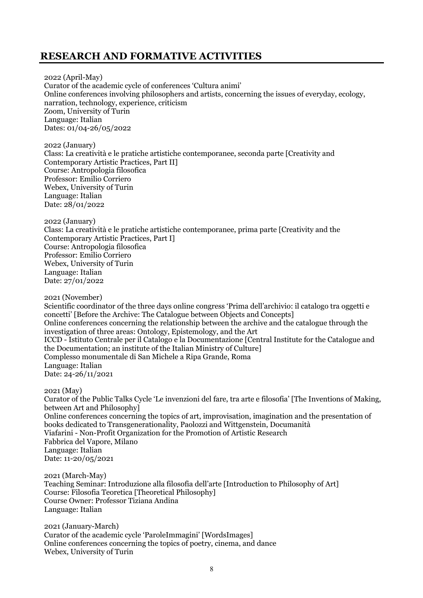## **RESEARCH AND FORMATIVE ACTIVITIES**

2022 (April-May) Curator of the academic cycle of conferences 'Cultura animi' Online conferences involving philosophers and artists, concerning the issues of everyday, ecology, narration, technology, experience, criticism Zoom, University of Turin Language: Italian Dates: 01/04-26/05/2022

2022 (January) Class: La creatività e le pratiche artistiche contemporanee, seconda parte [Creativity and Contemporary Artistic Practices, Part II] Course: Antropologia filosofica Professor: Emilio Corriero Webex, University of Turin Language: Italian Date: 28/01/2022

2022 (January) Class: La creatività e le pratiche artistiche contemporanee, prima parte [Creativity and the Contemporary Artistic Practices, Part I] Course: Antropologia filosofica Professor: Emilio Corriero Webex, University of Turin Language: Italian Date: 27/01/2022

2021 (November)

Scientific coordinator of the three days online congress 'Prima dell'archivio: il catalogo tra oggetti e concetti' [Before the Archive: The Catalogue between Objects and Concepts] Online conferences concerning the relationship between the archive and the catalogue through the investigation of three areas: Ontology, Epistemology, and the Art ICCD - Istituto Centrale per il Catalogo e la Documentazione [Central Institute for the Catalogue and the Documentation; an institute of the Italian Ministry of Culture] Complesso monumentale di San Michele a Ripa Grande, Roma Language: Italian Date: 24-26/11/2021

2021 (May)

Curator of the Public Talks Cycle 'Le invenzioni del fare, tra arte e filosofia' [The Inventions of Making, between Art and Philosophy] Online conferences concerning the topics of art, improvisation, imagination and the presentation of books dedicated to Transgenerationality, Paolozzi and Wittgenstein, Documanità Viafarini - Non-Profit Organization for the Promotion of Artistic Research Fabbrica del Vapore, Milano Language: Italian Date: 11-20/05/2021

2021 (March-May) Teaching Seminar: Introduzione alla filosofia dell'arte [Introduction to Philosophy of Art] Course: Filosofia Teoretica [Theoretical Philosophy] Course Owner: Professor Tiziana Andina Language: Italian

2021 (January-March) Curator of the academic cycle 'ParoleImmagini' [WordsImages] Online conferences concerning the topics of poetry, cinema, and dance Webex, University of Turin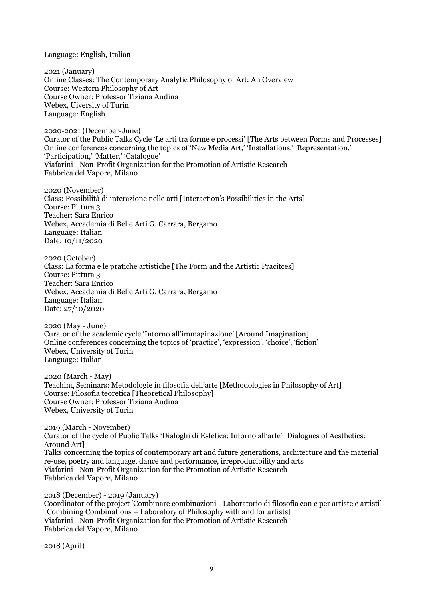Language: English, Italian

2021 (January) Online Classes: The Contemporary Analytic Philosophy of Art: An Overview Course: Western Philosophy of Art Course Owner: Professor Tiziana Andina Webex, Uiversity of Turin Language: English

2020-2021 (December-June) Curator of the Public Talks Cycle 'Le arti tra forme e processi' [The Arts between Forms and Processes] Online conferences concerning the topics of 'New Media Art,' 'Installations,' 'Representation,' 'Participation,' 'Matter,' 'Catalogue' Viafarini - Non-Profit Organization for the Promotion of Artistic Research Fabbrica del Vapore, Milano

2020 (November) Class: Possibilità di interazione nelle arti [Interaction's Possibilities in the Arts] Course: Pittura 3 Teacher: Sara Enrico Webex, Accademia di Belle Arti G. Carrara, Bergamo Language: Italian Date: 10/11/2020

2020 (October) Class: La forma e le pratiche artistiche [The Form and the Artistic Pracitces] Course: Pittura 3 Teacher: Sara Enrico Webex, Accademia di Belle Arti G. Carrara, Bergamo Language: Italian Date: 27/10/2020

2020 (May - June) Curator of the academic cycle 'Intorno all'immaginazione' [Around Imagination] Online conferences concerning the topics of 'practice', 'expression', 'choice', 'fiction' Webex, University of Turin Language: Italian

2020 (March - May) Teaching Seminars: Metodologie in filosofia dell'arte [Methodologies in Philosophy of Art] Course: Filosofia teoretica [Theoretical Philosophy] Course Owner: Professor Tiziana Andina Webex, University of Turin

2019 (March - November) Curator of the cycle of Public Talks 'Dialoghi di Estetica: Intorno all'arte' [Dialogues of Aesthetics: Around Art] Talks concerning the topics of contemporary art and future generations, architecture and the material re-use, poetry and language, dance and performance, irreproducibility and arts Viafarini - Non-Profit Organization for the Promotion of Artistic Research Fabbrica del Vapore, Milano

2018 (December) - 2019 (January) Coordinator of the project 'Combinare combinazioni - Laboratorio di filosofia con e per artiste e artisti' [Combining Combinations – Laboratory of Philosophy with and for artists] Viafarini - Non-Profit Organization for the Promotion of Artistic Research Fabbrica del Vapore, Milano

2018 (April)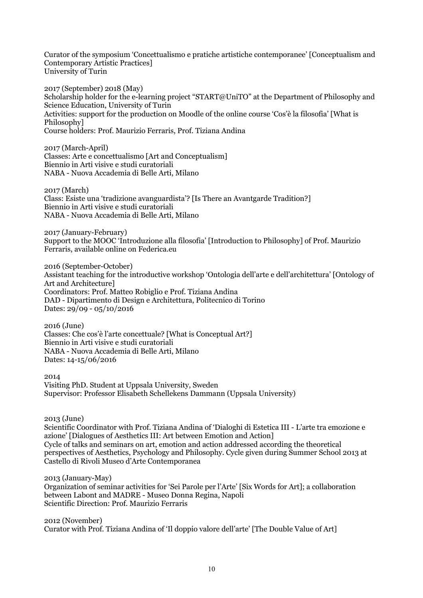Curator of the symposium 'Concettualismo e pratiche artistiche contemporanee' [Conceptualism and Contemporary Artistic Practices] University of Turin

2017 (September) 2018 (May) Scholarship holder for the e-learning project "START@UniTO" at the Department of Philosophy and Science Education, University of Turin Activities: support for the production on Moodle of the online course 'Cos'è la filosofia' [What is Philosophy] Course holders: Prof. Maurizio Ferraris, Prof. Tiziana Andina

2017 (March-April) Classes: Arte e concettualismo [Art and Conceptualism] Biennio in Arti visive e studi curatoriali NABA - Nuova Accademia di Belle Arti, Milano

2017 (March) Class: Esiste una 'tradizione avanguardista'? [Is There an Avantgarde Tradition?] Biennio in Arti visive e studi curatoriali NABA - Nuova Accademia di Belle Arti, Milano

2017 (January-February) Support to the MOOC 'Introduzione alla filosofia' [Introduction to Philosophy] of Prof. Maurizio Ferraris, available online on Federica.eu

2016 (September-October) Assistant teaching for the introductive workshop 'Ontologia dell'arte e dell'architettura' [Ontology of Art and Architecture] Coordinators: Prof. Matteo Robiglio e Prof. Tiziana Andina DAD - Dipartimento di Design e Architettura, Politecnico di Torino Dates: 29/09 - 05/10/2016

2016 (June) Classes: Che cos'è l'arte concettuale? [What is Conceptual Art?] Biennio in Arti visive e studi curatoriali NABA - Nuova Accademia di Belle Arti, Milano Dates: 14-15/06/2016

2014

Visiting PhD. Student at Uppsala University, Sweden Supervisor: Professor Elisabeth Schellekens Dammann (Uppsala University)

2013 (June)

Scientific Coordinator with Prof. Tiziana Andina of 'Dialoghi di Estetica III - L'arte tra emozione e azione' [Dialogues of Aesthetics III: Art between Emotion and Action] Cycle of talks and seminars on art, emotion and action addressed according the theoretical perspectives of Aesthetics, Psychology and Philosophy. Cycle given during Summer School 2013 at Castello di Rivoli Museo d'Arte Contemporanea

2013 (January-May)

Organization of seminar activities for 'Sei Parole per l'Arte' [Six Words for Art]; a collaboration between Labont and MADRE - Museo Donna Regina, Napoli Scientific Direction: Prof. Maurizio Ferraris

2012 (November) Curator with Prof. Tiziana Andina of 'Il doppio valore dell'arte' [The Double Value of Art]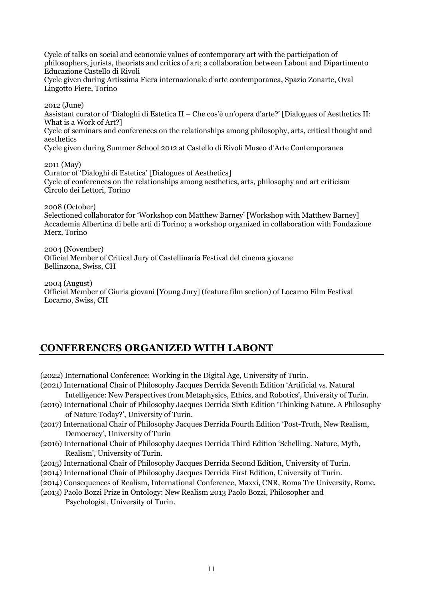Cycle of talks on social and economic values of contemporary art with the participation of philosophers, jurists, theorists and critics of art; a collaboration between Labont and Dipartimento Educazione Castello di Rivoli

Cycle given during Artissima Fiera internazionale d'arte contemporanea, Spazio Zonarte, Oval Lingotto Fiere, Torino

2012 (June) Assistant curator of 'Dialoghi di Estetica II – Che cos'è un'opera d'arte?' [Dialogues of Aesthetics II: What is a Work of Art?] Cycle of seminars and conferences on the relationships among philosophy, arts, critical thought and aesthetics Cycle given during Summer School 2012 at Castello di Rivoli Museo d'Arte Contemporanea

2011 (May) Curator of 'Dialoghi di Estetica' [Dialogues of Aesthetics] Cycle of conferences on the relationships among aesthetics, arts, philosophy and art criticism Circolo dei Lettori, Torino

2008 (October) Selectioned collaborator for 'Workshop con Matthew Barney' [Workshop with Matthew Barney] Accademia Albertina di belle arti di Torino; a workshop organized in collaboration with Fondazione Merz, Torino

2004 (November) Official Member of Critical Jury of Castellinaria Festival del cinema giovane Bellinzona, Swiss, CH

2004 (August) Official Member of Giuria giovani [Young Jury] (feature film section) of Locarno Film Festival Locarno, Swiss, CH

## **CONFERENCES ORGANIZED WITH LABONT**

(2022) International Conference: Working in the Digital Age, University of Turin.

- (2021) International Chair of Philosophy Jacques Derrida Seventh Edition 'Artificial vs. Natural Intelligence: New Perspectives from Metaphysics, Ethics, and Robotics', University of Turin.
- (2019) International Chair of Philosophy Jacques Derrida Sixth Edition 'Thinking Nature. A Philosophy of Nature Today?', University of Turin.
- (2017) International Chair of Philosophy Jacques Derrida Fourth Edition 'Post-Truth, New Realism, Democracy', University of Turin
- (2016) International Chair of Philosophy Jacques Derrida Third Edition 'Schelling. Nature, Myth, Realism', University of Turin.
- (2015) International Chair of Philosophy Jacques Derrida Second Edition, University of Turin.
- (2014) International Chair of Philosophy Jacques Derrida First Edition, University of Turin.
- (2014) Consequences of Realism, International Conference, Maxxi, CNR, Roma Tre University, Rome.
- (2013) Paolo Bozzi Prize in Ontology: New Realism 2013 Paolo Bozzi, Philosopher and Psychologist, University of Turin.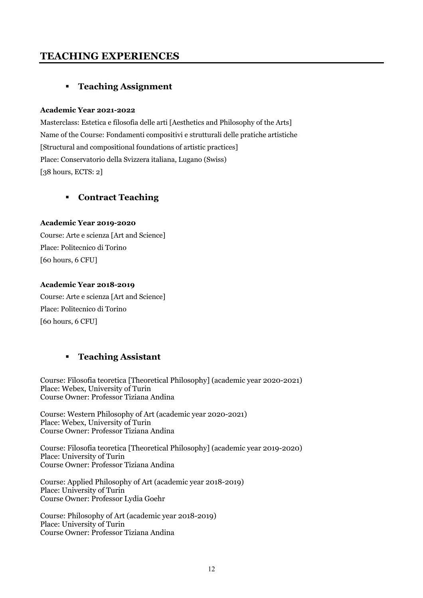## **TEACHING EXPERIENCES**

## § **Teaching Assignment**

#### **Academic Year 2021-2022**

Masterclass: Estetica e filosofia delle arti [Aesthetics and Philosophy of the Arts] Name of the Course: Fondamenti compositivi e strutturali delle pratiche artistiche [Structural and compositional foundations of artistic practices] Place: Conservatorio della Svizzera italiana, Lugano (Swiss) [38 hours, ECTS: 2]

### § **Contract Teaching**

### **Academic Year 2019-2020**

Course: Arte e scienza [Art and Science] Place: Politecnico di Torino [60 hours, 6 CFU]

#### **Academic Year 2018-2019**

Course: Arte e scienza [Art and Science] Place: Politecnico di Torino [60 hours, 6 CFU]

## § **Teaching Assistant**

Course: Filosofia teoretica [Theoretical Philosophy] (academic year 2020-2021) Place: Webex, University of Turin Course Owner: Professor Tiziana Andina

Course: Western Philosophy of Art (academic year 2020-2021) Place: Webex, University of Turin Course Owner: Professor Tiziana Andina

Course: Filosofia teoretica [Theoretical Philosophy] (academic year 2019-2020) Place: University of Turin Course Owner: Professor Tiziana Andina

Course: Applied Philosophy of Art (academic year 2018-2019) Place: University of Turin Course Owner: Professor Lydia Goehr

Course: Philosophy of Art (academic year 2018-2019) Place: University of Turin Course Owner: Professor Tiziana Andina